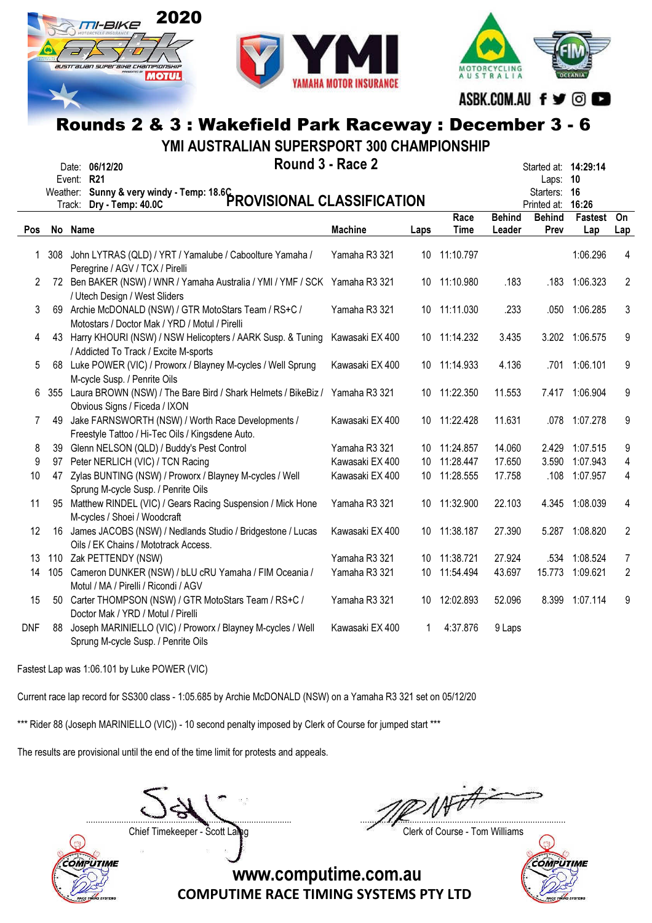





ASBK.COM.AU f y © O

# Rounds 2 & 3 : Wakefield Park Raceway : December 3 - 6

YMI AUSTRALIAN SUPERSPORT 300 CHAMPIONSHIP

|              |     | Date: 06/12/20<br>Event: R21                                                                                 | Round 3 - Race 2<br>Weather: Sunny & very windy - Temp: 18.6C<br>The Contract of CLASSIFICATION |      |                     |                         |                       |                |                |
|--------------|-----|--------------------------------------------------------------------------------------------------------------|-------------------------------------------------------------------------------------------------|------|---------------------|-------------------------|-----------------------|----------------|----------------|
| <b>Pos</b>   |     | No Name                                                                                                      | <b>Machine</b>                                                                                  | Laps | Race<br><b>Time</b> | <b>Behind</b><br>Leader | <b>Behind</b><br>Prev | Fastest<br>Lap | On<br>Lap      |
| $\mathbf{1}$ | 308 | John LYTRAS (QLD) / YRT / Yamalube / Caboolture Yamaha /<br>Peregrine / AGV / TCX / Pirelli                  | Yamaha R3 321                                                                                   |      | 10 11:10.797        |                         |                       | 1:06.296       | 4              |
| 2            |     | 72 Ben BAKER (NSW) / WNR / Yamaha Australia / YMI / YMF / SCK Yamaha R3 321<br>/ Utech Design / West Sliders |                                                                                                 |      | 10 11:10.980        | .183                    |                       | .183 1:06.323  | 2              |
| 3            |     | 69 Archie McDONALD (NSW) / GTR MotoStars Team / RS+C /<br>Motostars / Doctor Mak / YRD / Motul / Pirelli     | Yamaha R3 321                                                                                   |      | 10 11:11.030        | .233                    |                       | .050 1:06.285  | 3              |
| 4            |     | 43 Harry KHOURI (NSW) / NSW Helicopters / AARK Susp. & Tuning<br>/ Addicted To Track / Excite M-sports       | Kawasaki EX 400                                                                                 |      | 10 11:14.232        | 3.435                   |                       | 3.202 1:06.575 | 9              |
| 5            |     | 68 Luke POWER (VIC) / Proworx / Blayney M-cycles / Well Sprung<br>M-cycle Susp. / Penrite Oils               | Kawasaki EX 400                                                                                 |      | 10 11:14.933        | 4.136                   | .701                  | 1:06.101       | 9              |
| 6            |     | 355 Laura BROWN (NSW) / The Bare Bird / Shark Helmets / BikeBiz /<br>Obvious Signs / Ficeda / IXON           | Yamaha R3 321                                                                                   |      | 10 11:22.350        | 11.553                  |                       | 7.417 1:06.904 | 9              |
| 7            | 49  | Jake FARNSWORTH (NSW) / Worth Race Developments /<br>Freestyle Tattoo / Hi-Tec Oils / Kingsdene Auto.        | Kawasaki EX 400                                                                                 |      | 10 11:22.428        | 11.631                  |                       | .078 1:07.278  | 9              |
| 8            | 39  | Glenn NELSON (QLD) / Buddy's Pest Control                                                                    | Yamaha R3 321                                                                                   |      | 10 11:24.857        | 14.060                  | 2.429                 | 1:07.515       | 9              |
| 9            | 97  | Peter NERLICH (VIC) / TCN Racing                                                                             | Kawasaki EX 400                                                                                 | 10   | 11:28.447           | 17.650                  | 3.590                 | 1:07.943       | 4              |
| 10           |     | 47 Zylas BUNTING (NSW) / Proworx / Blayney M-cycles / Well<br>Sprung M-cycle Susp. / Penrite Oils            | Kawasaki EX 400                                                                                 |      | 10 11:28.555        | 17.758                  | .108                  | 1:07.957       | 4              |
| 11           | 95  | Matthew RINDEL (VIC) / Gears Racing Suspension / Mick Hone<br>M-cycles / Shoei / Woodcraft                   | Yamaha R3 321                                                                                   |      | 10 11:32.900        | 22.103                  |                       | 4.345 1:08.039 | 4              |
| 12           |     | 16 James JACOBS (NSW) / Nedlands Studio / Bridgestone / Lucas<br>Oils / EK Chains / Mototrack Access.        | Kawasaki EX 400                                                                                 |      | 10 11:38.187        | 27.390                  |                       | 5.287 1:08.820 | $\overline{2}$ |
| 13           |     | 110 Zak PETTENDY (NSW)                                                                                       | Yamaha R3 321                                                                                   |      | 10 11:38.721        | 27.924                  | .534                  | 1:08.524       | 7              |
| 14           | 105 | Cameron DUNKER (NSW) / bLU cRU Yamaha / FIM Oceania /<br>Motul / MA / Pirelli / Ricondi / AGV                | Yamaha R3 321                                                                                   |      | 10 11:54.494        | 43.697                  | 15.773                | 1:09.621       | $\overline{2}$ |
| 15           |     | 50 Carter THOMPSON (NSW) / GTR MotoStars Team / RS+C /<br>Doctor Mak / YRD / Motul / Pirelli                 | Yamaha R3 321                                                                                   | 10   | 12:02.893           | 52.096                  |                       | 8.399 1:07.114 | 9              |
| DNF          | 88  | Joseph MARINIELLO (VIC) / Proworx / Blayney M-cycles / Well<br>Sprung M-cycle Susp. / Penrite Oils           | Kawasaki EX 400                                                                                 | 1    | 4:37.876            | 9 Laps                  |                       |                |                |

Fastest Lap was 1:06.101 by Luke POWER (VIC)

Current race lap record for SS300 class - 1:05.685 by Archie McDONALD (NSW) on a Yamaha R3 321 set on 05/12/20

\*\*\* Rider 88 (Joseph MARINIELLO (VIC)) - 10 second penalty imposed by Clerk of Course for jumped start \*\*\*

The results are provisional until the end of the time limit for protests and appeals.

....................................................................................... .......................................................................................

Chief Timekeeper - Scott Laing Chief Timekeeper - Scott Laing



**COMPUTIME**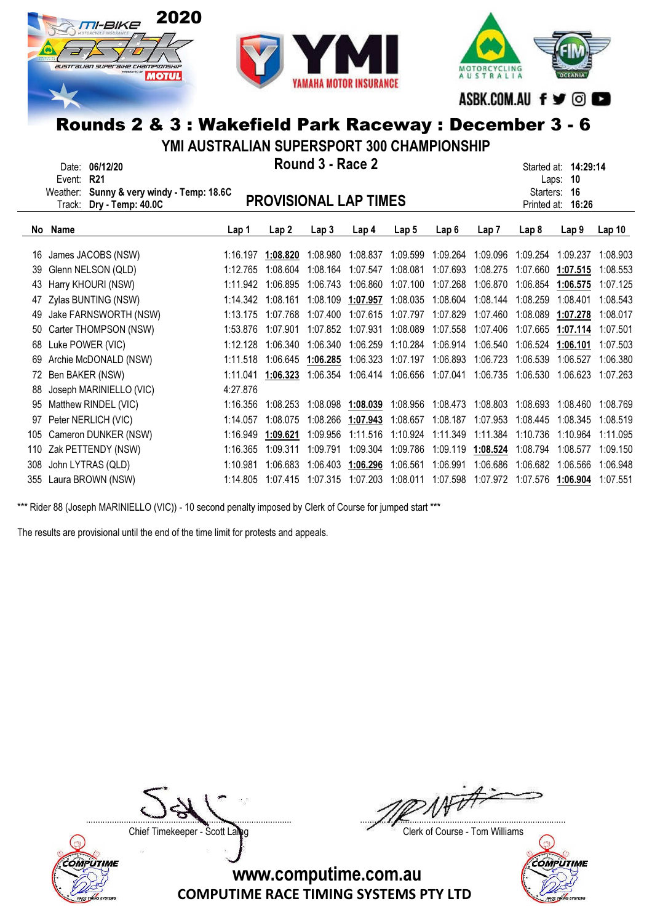





YMI AUSTRALIAN SUPERSPORT 300 CHAMPIONSHIP

|                                                                                                                                            | YMI AUSTRALIAN SUPERSPORT 300 CHAMPIONSHIP |          |          |          |          |                   |                   |                                        |             |                                                     |                   |
|--------------------------------------------------------------------------------------------------------------------------------------------|--------------------------------------------|----------|----------|----------|----------|-------------------|-------------------|----------------------------------------|-------------|-----------------------------------------------------|-------------------|
| Round 3 - Race 2<br>06/12/20<br>Date:<br><b>R21</b><br>Event:<br>Weather: Sunny & very windy - Temp: 18.6C<br><b>PROVISIONAL LAP TIMES</b> |                                            |          |          |          |          |                   |                   |                                        |             | Started at: 14:29:14<br>10<br>Laps:<br>Starters: 16 |                   |
|                                                                                                                                            | Dry - Temp: 40.0C<br>Track:                |          |          |          |          |                   |                   |                                        | Printed at: | 16:26                                               |                   |
| No                                                                                                                                         | Name                                       | Lap 1    | Lap2     | Lap3     | Lap 4    | Lap <sub>5</sub>  | Lap 6             | Lap <sub>7</sub>                       | Lap 8       | Lap <sub>9</sub>                                    | Lap <sub>10</sub> |
| 16                                                                                                                                         | James JACOBS (NSW)                         | 1:16.197 | 1:08.820 | 1:08.980 | 1:08.837 | 1:09.599          | 1:09.264          | 1:09.096                               | 1:09.254    | 1:09.237                                            | 1:08.903          |
| 39                                                                                                                                         | Glenn NELSON (QLD)                         | 1:12.765 | 1:08.604 | 1:08.164 | 1:07.547 | 1:08.081          | 1:07.693          | 1:08.275                               | 1:07.660    | 1:07.515                                            | 1:08.553          |
|                                                                                                                                            | 43 Harry KHOURI (NSW)                      | 1:11.942 | 1:06.895 | 1:06.743 | 1:06.860 |                   | 1:07.100 1:07.268 | 1:06.870                               | 1:06.854    | 1:06.575                                            | 1:07.125          |
|                                                                                                                                            | 47 Zylas BUNTING (NSW)                     | 1:14.342 | 1:08.161 | 1:08.109 | 1:07.957 | 1:08.035          | 1:08.604          | 1:08.144                               | 1:08.259    | 1:08.401                                            | 1:08.543          |
| 49                                                                                                                                         | Jake FARNSWORTH (NSW)                      | 1:13.175 | 1:07.768 | 1:07.400 | 1:07.615 | 1:07.797          | 1:07.829          | 1:07.460                               | 1:08.089    | 1:07.278                                            | 1:08.017          |
| 50                                                                                                                                         | Carter THOMPSON (NSW)                      | 1:53.876 | 1:07.901 | 1:07.852 | 1:07.931 | 1:08.089          | 1:07.558          | 1:07.406                               | 1:07.665    | 1:07.114                                            | 1:07.501          |
| 68                                                                                                                                         | Luke POWER (VIC)                           | 1:12.128 | 1:06.340 | 1:06.340 | 1:06.259 | 1:10.284          | 1:06.914          | 1:06.540                               | 1:06.524    | 1:06.101                                            | 1:07.503          |
| 69                                                                                                                                         | Archie McDONALD (NSW)                      | 1:11.518 | 1:06.645 | 1:06.285 | 1:06.323 | 1:07.197          | 1:06.893          | 1:06.723                               | 1:06.539    | 1:06.527                                            | 1:06.380          |
| 72                                                                                                                                         | Ben BAKER (NSW)                            | 1:11.041 | 1:06.323 | 1:06.354 |          | 1:06.414 1:06.656 | 1:07.041          | 1:06.735                               | 1:06.530    | 1:06.623                                            | 1:07.263          |
| 88                                                                                                                                         | Joseph MARINIELLO (VIC)                    | 4:27.876 |          |          |          |                   |                   |                                        |             |                                                     |                   |
| 95                                                                                                                                         | Matthew RINDEL (VIC)                       | 1:16.356 | 1:08.253 | 1:08.098 | 1:08.039 | 1:08.956          | 1:08.473          | 1:08.803                               | 1:08.693    | 1:08.460                                            | 1:08.769          |
| 97                                                                                                                                         | Peter NERLICH (VIC)                        | 1:14.057 | 1:08.075 | 1:08.266 | 1:07.943 | 1:08.657          | 1:08.187          | 1:07.953                               | 1:08.445    | 1:08.345                                            | 1:08.519          |
|                                                                                                                                            | 105 Cameron DUNKER (NSW)                   | 1:16.949 | 1:09.621 | 1:09.956 | 1:11.516 | 1:10.924          | 1:11.349          | 1:11.384                               | 1:10.736    | 1:10.964                                            | 1:11.095          |
|                                                                                                                                            | 110 Zak PETTENDY (NSW)                     | 1:16.365 | 1:09.311 | 1:09.791 | 1:09.304 |                   |                   | 1:09.786  1:09.119  1:08.524  1:08.794 |             | 1:08.577                                            | 1:09.150          |

308 John LYTRAS (QLD) 1:10.981 1:06.683 1:06.403 1:06.296 1:06.561 1:06.991 1:06.686 1:06.682 1:06.566 1:06.948 355 Laura BROWN (NSW) 1:14.805 1:07.415 1:07.315 1:07.203 1:08.011 1:07.598 1:07.972 1:07.576 1:06.904 1:07.551

\*\*\* Rider 88 (Joseph MARINIELLO (VIC)) - 10 second penalty imposed by Clerk of Course for jumped start \*\*\*

The results are provisional until the end of the time limit for protests and appeals.

**COMPUTIME** 

....................................................................................... .......................................................................................

Chief Timekeeper - Scott Laing Chief Timekeeper - Scott Laing

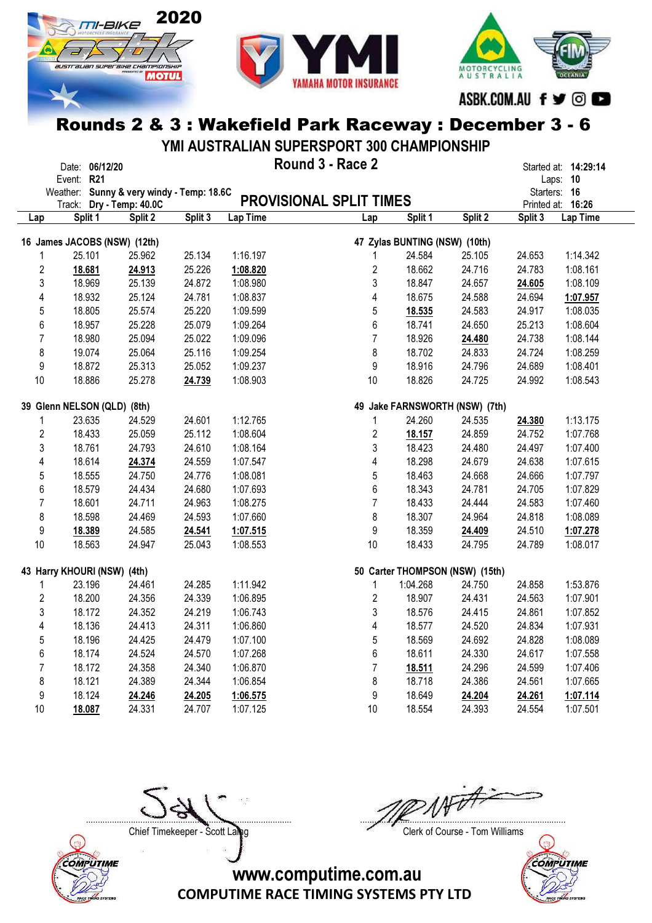





ASBK.COM.AU f ♥ © ■

### Rounds 2 & 3 : Wakefield Park Raceway : December 3 - 6

YMI AUSTRALIAN SUPERSPORT 300 CHAMPIONSHIP

|                | Date: 06/12/20                            |         |         |          | Round 3 - Race 2               |                                 |         |              | Started at: 14:29:14 |
|----------------|-------------------------------------------|---------|---------|----------|--------------------------------|---------------------------------|---------|--------------|----------------------|
|                | Event: R21                                |         |         |          |                                |                                 |         |              | Laps: 10             |
|                | Weather: Sunny & very windy - Temp: 18.6C |         |         |          |                                |                                 |         | Starters: 16 |                      |
|                | Track: Dry - Temp: 40.0C                  |         |         |          | <b>PROVISIONAL SPLIT TIMES</b> |                                 |         |              | Printed at: 16:26    |
| Lap            | Split 1                                   | Split 2 | Split 3 | Lap Time | Lap                            | Split 1                         | Split 2 | Split 3      | Lap Time             |
|                | 16 James JACOBS (NSW) (12th)              |         |         |          |                                | 47 Zylas BUNTING (NSW) (10th)   |         |              |                      |
|                | 25.101                                    | 25.962  | 25.134  | 1:16.197 | 1                              | 24.584                          | 25.105  | 24.653       | 1:14.342             |
| $\overline{2}$ | 18.681                                    | 24.913  | 25.226  | 1:08.820 | $\boldsymbol{2}$               | 18.662                          | 24.716  | 24.783       | 1:08.161             |
| 3              | 18.969                                    | 25.139  | 24.872  | 1:08.980 | 3                              | 18.847                          | 24.657  | 24.605       | 1:08.109             |
| 4              | 18.932                                    | 25.124  | 24.781  | 1:08.837 | $\overline{4}$                 | 18.675                          | 24.588  | 24.694       | 1:07.957             |
| 5              | 18.805                                    | 25.574  | 25.220  | 1:09.599 | 5                              | 18.535                          | 24.583  | 24.917       | 1:08.035             |
| 6              | 18.957                                    | 25.228  | 25.079  | 1:09.264 | 6                              | 18.741                          | 24.650  | 25.213       | 1:08.604             |
| $\overline{7}$ | 18.980                                    | 25.094  | 25.022  | 1:09.096 | $\overline{7}$                 | 18.926                          | 24.480  | 24.738       | 1:08.144             |
| 8              | 19.074                                    | 25.064  | 25.116  | 1:09.254 | 8                              | 18.702                          | 24.833  | 24.724       | 1:08.259             |
| 9              | 18.872                                    | 25.313  | 25.052  | 1:09.237 | 9                              | 18.916                          | 24.796  | 24.689       | 1:08.401             |
| 10             | 18.886                                    | 25.278  | 24.739  | 1:08.903 | 10                             | 18.826                          | 24.725  | 24.992       | 1:08.543             |
|                |                                           |         |         |          |                                |                                 |         |              |                      |
|                | 39 Glenn NELSON (QLD) (8th)               |         |         |          |                                | 49 Jake FARNSWORTH (NSW) (7th)  |         |              |                      |
| 1              | 23.635                                    | 24.529  | 24.601  | 1:12.765 | 1                              | 24.260                          | 24.535  | 24.380       | 1:13.175             |
| $\overline{2}$ | 18.433                                    | 25.059  | 25.112  | 1:08.604 | 2                              | 18.157                          | 24.859  | 24.752       | 1:07.768             |
| 3              | 18.761                                    | 24.793  | 24.610  | 1:08.164 | 3                              | 18.423                          | 24.480  | 24.497       | 1:07.400             |
| 4              | 18.614                                    | 24.374  | 24.559  | 1:07.547 | 4                              | 18.298                          | 24.679  | 24.638       | 1:07.615             |
| 5              | 18.555                                    | 24.750  | 24.776  | 1:08.081 | $\sqrt{5}$                     | 18.463                          | 24.668  | 24.666       | 1:07.797             |
| 6              | 18.579                                    | 24.434  | 24.680  | 1:07.693 | 6                              | 18.343                          | 24.781  | 24.705       | 1:07.829             |
| $\overline{7}$ | 18.601                                    | 24.711  | 24.963  | 1:08.275 | $\overline{7}$                 | 18.433                          | 24.444  | 24.583       | 1:07.460             |
| 8              | 18.598                                    | 24.469  | 24.593  | 1:07.660 | 8                              | 18.307                          | 24.964  | 24.818       | 1:08.089             |
| 9              | 18.389                                    | 24.585  | 24.541  | 1:07.515 | 9                              | 18.359                          | 24.409  | 24.510       | 1:07.278             |
| 10             | 18.563                                    | 24.947  | 25.043  | 1:08.553 | $10$                           | 18.433                          | 24.795  | 24.789       | 1:08.017             |
|                | 43 Harry KHOURI (NSW) (4th)               |         |         |          |                                | 50 Carter THOMPSON (NSW) (15th) |         |              |                      |
| 1              | 23.196                                    | 24.461  | 24.285  | 1:11.942 | $\mathbf{1}$                   | 1:04.268                        | 24.750  | 24.858       | 1:53.876             |
| $\overline{2}$ | 18.200                                    | 24.356  | 24.339  | 1:06.895 | $\overline{2}$                 | 18.907                          | 24.431  | 24.563       | 1:07.901             |
| 3              | 18.172                                    | 24.352  | 24.219  | 1:06.743 | 3                              | 18.576                          | 24.415  | 24.861       | 1:07.852             |
| 4              | 18.136                                    | 24.413  | 24.311  | 1:06.860 | 4                              | 18.577                          | 24.520  | 24.834       | 1:07.931             |
| 5              | 18.196                                    | 24.425  | 24.479  | 1:07.100 | $\sqrt{5}$                     | 18.569                          | 24.692  | 24.828       | 1:08.089             |
| 6              | 18.174                                    | 24.524  | 24.570  | 1:07.268 | 6                              | 18.611                          | 24.330  | 24.617       | 1:07.558             |
| $\overline{7}$ | 18.172                                    | 24.358  | 24.340  | 1:06.870 | $\overline{7}$                 | 18.511                          | 24.296  | 24.599       | 1:07.406             |
| 8              | 18.121                                    | 24.389  | 24.344  | 1:06.854 | 8                              | 18.718                          | 24.386  | 24.561       | 1:07.665             |
| 9              | 18.124                                    | 24.246  | 24.205  | 1:06.575 | 9                              | 18.649                          | 24.204  | 24.261       | 1:07.114             |
| 10             | 18.087                                    | 24.331  | 24.707  | 1:07.125 | 10                             | 18.554                          | 24.393  | 24.554       | 1:07.501             |



....................................................................................... .......................................................................................

Chief Timekeeper - Scott Laing Chief Timekeeper - Scott Laing

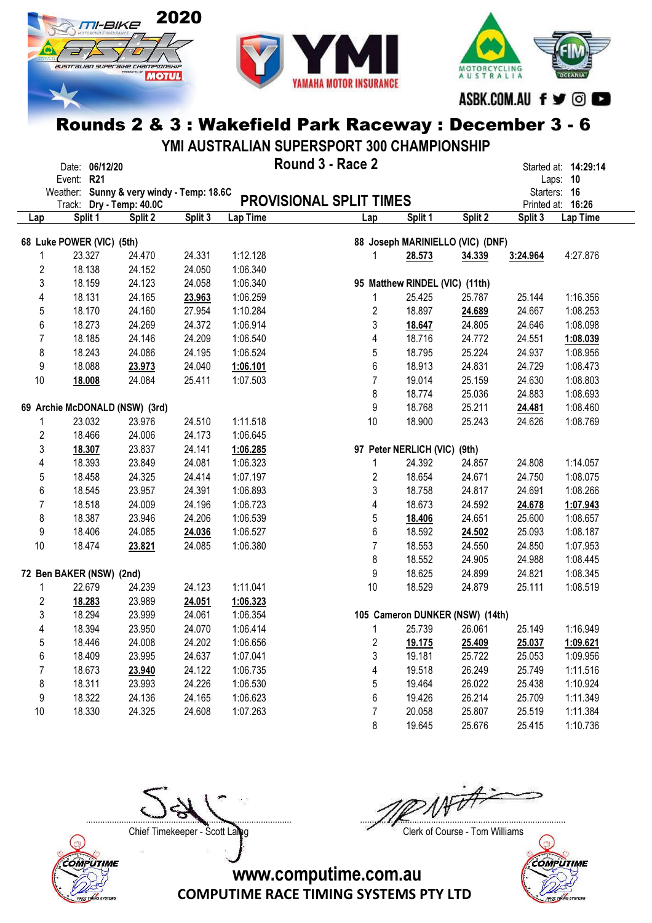





ASBK.COM.AU f ♥ © ■

### Rounds 2 & 3 : Wakefield Park Raceway : December 3 - 6

YMI AUSTRALIAN SUPERSPORT 300 CHAMPIONSHIP

|                         | Date: 06/12/20                            |         |         |          | Round 3 - Race 2               |                                  |         |          | Started at: 14:29:14 |
|-------------------------|-------------------------------------------|---------|---------|----------|--------------------------------|----------------------------------|---------|----------|----------------------|
|                         | Event: R21                                |         |         |          |                                |                                  |         |          | Laps: 10             |
|                         | Weather: Sunny & very windy - Temp: 18.6C |         |         |          |                                |                                  |         |          | Starters: 16         |
|                         | Track: Dry - Temp: 40.0C                  |         |         |          | <b>PROVISIONAL SPLIT TIMES</b> |                                  |         |          | Printed at: 16:26    |
| Lap                     | Split 1                                   | Split 2 | Split 3 | Lap Time | Lap                            | Split 1                          | Split 2 | Split 3  | Lap Time             |
|                         | 68 Luke POWER (VIC) (5th)                 |         |         |          |                                | 88 Joseph MARINIELLO (VIC) (DNF) |         |          |                      |
|                         | 23.327                                    | 24.470  | 24.331  | 1:12.128 | 1                              | 28.573                           | 34.339  | 3:24.964 | 4:27.876             |
| $\overline{\mathbf{c}}$ | 18.138                                    | 24.152  | 24.050  | 1:06.340 |                                |                                  |         |          |                      |
| 3                       | 18.159                                    | 24.123  | 24.058  | 1:06.340 |                                | 95 Matthew RINDEL (VIC) (11th)   |         |          |                      |
| 4                       | 18.131                                    | 24.165  | 23.963  | 1:06.259 | 1                              | 25.425                           | 25.787  | 25.144   | 1:16.356             |
| 5                       | 18.170                                    | 24.160  | 27.954  | 1:10.284 | 2                              | 18.897                           | 24.689  | 24.667   | 1:08.253             |
| 6                       | 18.273                                    | 24.269  | 24.372  | 1:06.914 | 3                              | 18.647                           | 24.805  | 24.646   | 1:08.098             |
| 7                       | 18.185                                    | 24.146  | 24.209  | 1:06.540 | 4                              | 18.716                           | 24.772  | 24.551   | 1:08.039             |
| 8                       | 18.243                                    | 24.086  | 24.195  | 1:06.524 | 5                              | 18.795                           | 25.224  | 24.937   | 1:08.956             |
| 9                       | 18.088                                    | 23.973  | 24.040  | 1:06.101 | 6                              | 18.913                           | 24.831  | 24.729   | 1:08.473             |
| 10                      | 18.008                                    | 24.084  | 25.411  | 1:07.503 | $\overline{7}$                 | 19.014                           | 25.159  | 24.630   | 1:08.803             |
|                         |                                           |         |         |          | 8                              | 18.774                           | 25.036  | 24.883   | 1:08.693             |
|                         | 69 Archie McDONALD (NSW) (3rd)            |         |         |          | 9                              | 18.768                           | 25.211  | 24.481   | 1:08.460             |
|                         | 23.032                                    | 23.976  | 24.510  | 1:11.518 | 10                             | 18.900                           | 25.243  | 24.626   | 1:08.769             |
| $\overline{c}$          | 18.466                                    | 24.006  | 24.173  | 1:06.645 |                                |                                  |         |          |                      |
| 3                       | 18.307                                    | 23.837  | 24.141  | 1:06.285 |                                | 97 Peter NERLICH (VIC) (9th)     |         |          |                      |
| 4                       | 18.393                                    | 23.849  | 24.081  | 1:06.323 | 1                              | 24.392                           | 24.857  | 24.808   | 1:14.057             |
| 5                       | 18.458                                    | 24.325  | 24.414  | 1:07.197 | 2                              | 18.654                           | 24.671  | 24.750   | 1:08.075             |
| 6                       | 18.545                                    | 23.957  | 24.391  | 1:06.893 | 3                              | 18.758                           | 24.817  | 24.691   | 1:08.266             |
| 7                       | 18.518                                    | 24.009  | 24.196  | 1:06.723 | 4                              | 18.673                           | 24.592  | 24.678   | 1:07.943             |
| 8                       | 18.387                                    | 23.946  | 24.206  | 1:06.539 | 5                              | 18.406                           | 24.651  | 25.600   | 1:08.657             |
| 9                       | 18.406                                    | 24.085  | 24.036  | 1:06.527 | 6                              | 18.592                           | 24.502  | 25.093   | 1:08.187             |
| 10                      | 18.474                                    | 23.821  | 24.085  | 1:06.380 | $\overline{7}$                 | 18.553                           | 24.550  | 24.850   | 1:07.953             |
|                         |                                           |         |         |          | 8                              | 18.552                           | 24.905  | 24.988   | 1:08.445             |
|                         | 72 Ben BAKER (NSW) (2nd)                  |         |         |          | 9                              | 18.625                           | 24.899  | 24.821   | 1:08.345             |
| 1                       | 22.679                                    | 24.239  | 24.123  | 1:11.041 | 10                             | 18.529                           | 24.879  | 25.111   | 1:08.519             |
| 2                       | 18.283                                    | 23.989  | 24.051  | 1:06.323 |                                |                                  |         |          |                      |
| 3                       | 18.294                                    | 23.999  | 24.061  | 1:06.354 |                                | 105 Cameron DUNKER (NSW) (14th)  |         |          |                      |
| 4                       | 18.394                                    | 23.950  | 24.070  | 1:06.414 | 1                              | 25.739                           | 26.061  | 25.149   | 1:16.949             |
| 5                       | 18.446                                    | 24.008  | 24.202  | 1:06.656 | 2                              | 19.175                           | 25.409  | 25.037   | 1:09.621             |
| 6                       | 18.409                                    | 23.995  | 24.637  | 1:07.041 | 3                              | 19.181                           | 25.722  | 25.053   | 1:09.956             |
| 7                       | 18.673                                    | 23.940  | 24.122  | 1:06.735 | $\overline{\mathbf{4}}$        | 19.518                           | 26.249  | 25.749   | 1:11.516             |
| 8                       | 18.311                                    | 23.993  | 24.226  | 1:06.530 | 5                              | 19.464                           | 26.022  | 25.438   | 1:10.924             |
| 9                       | 18.322                                    | 24.136  | 24.165  | 1:06.623 | 6                              | 19.426                           | 26.214  | 25.709   | 1:11.349             |
| 10                      | 18.330                                    | 24.325  | 24.608  | 1:07.263 | 7                              | 20.058                           | 25.807  | 25.519   | 1:11.384             |
|                         |                                           |         |         |          | 8                              | 19.645                           | 25.676  | 25.415   | 1:10.736             |



....................................................................................... .......................................................................................

Chief Timekeeper - Scott Laing Chief Timekeeper - Scott Laing

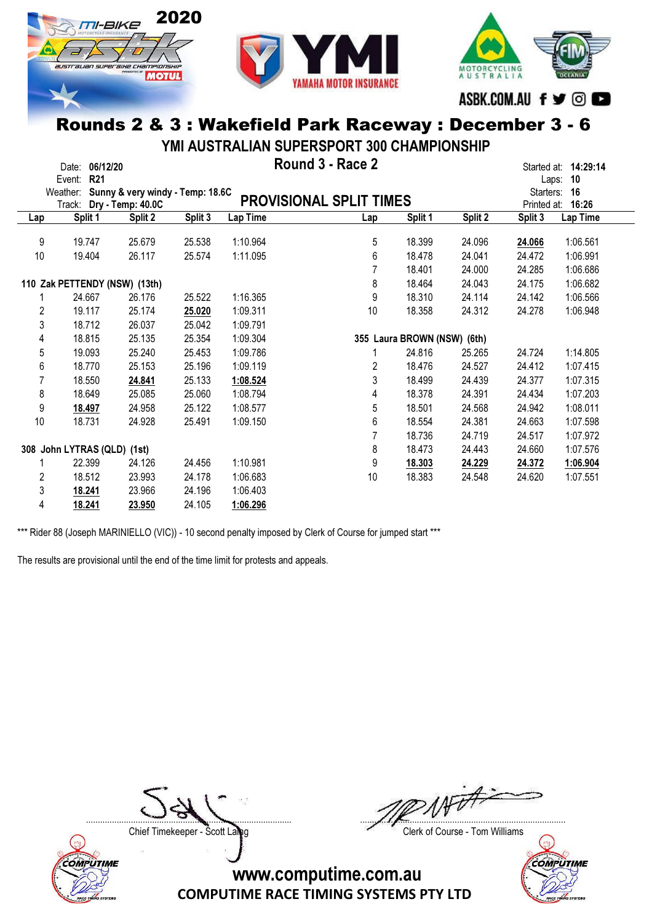





ASBK.COM.AU f ♥ © ●

#### Rounds 2 & 3 : Wakefield Park Raceway : December 3 - 6

YMI AUSTRALIAN SUPERSPORT 300 CHAMPIONSHIP

|     | Date:                       | 06/12/20   |                                  |         |          | Round 3 - Race 2               |                             |         |             | Started at: 14:29:14 |
|-----|-----------------------------|------------|----------------------------------|---------|----------|--------------------------------|-----------------------------|---------|-------------|----------------------|
|     | Event:                      | <b>R21</b> |                                  |         |          |                                |                             |         | Laps:       | 10                   |
|     | Weather:                    |            | Sunny & very windy - Temp: 18.6C |         |          |                                |                             |         | Starters:   | - 16                 |
|     | Track:                      |            | Dry - Temp: 40.0C                |         |          | <b>PROVISIONAL SPLIT TIMES</b> |                             |         | Printed at: | 16:26                |
| Lap |                             | Split 1    | Split 2                          | Split 3 | Lap Time | Lap                            | Split 1                     | Split 2 | Split 3     | Lap Time             |
|     |                             |            |                                  |         |          |                                |                             |         |             |                      |
| 9   |                             | 19.747     | 25.679                           | 25.538  | 1:10.964 | 5                              | 18.399                      | 24.096  | 24.066      | 1:06.561             |
| 10  |                             | 19.404     | 26.117                           | 25.574  | 1:11.095 | 6                              | 18.478                      | 24.041  | 24.472      | 1:06.991             |
|     |                             |            |                                  |         |          |                                | 18.401                      | 24.000  | 24.285      | 1:06.686             |
|     |                             |            | 110 Zak PETTENDY (NSW) (13th)    |         |          | 8                              | 18.464                      | 24.043  | 24.175      | 1:06.682             |
|     |                             | 24.667     | 26.176                           | 25.522  | 1:16.365 | 9                              | 18.310                      | 24.114  | 24.142      | 1:06.566             |
| 2   |                             | 19.117     | 25.174                           | 25.020  | 1:09.311 | 10                             | 18.358                      | 24.312  | 24.278      | 1:06.948             |
| 3   |                             | 18.712     | 26.037                           | 25.042  | 1:09.791 |                                |                             |         |             |                      |
| 4   |                             | 18.815     | 25.135                           | 25.354  | 1:09.304 |                                | 355 Laura BROWN (NSW) (6th) |         |             |                      |
| 5   |                             | 19.093     | 25.240                           | 25.453  | 1:09.786 |                                | 24.816                      | 25.265  | 24.724      | 1:14.805             |
| 6   |                             | 18.770     | 25.153                           | 25.196  | 1:09.119 | 2                              | 18.476                      | 24.527  | 24.412      | 1:07.415             |
| 7   |                             | 18.550     | 24.841                           | 25.133  | 1:08.524 | 3                              | 18.499                      | 24.439  | 24.377      | 1:07.315             |
| 8   |                             | 18.649     | 25.085                           | 25.060  | 1:08.794 | 4                              | 18.378                      | 24.391  | 24.434      | 1:07.203             |
| 9   |                             | 18.497     | 24.958                           | 25.122  | 1:08.577 | 5                              | 18.501                      | 24.568  | 24.942      | 1:08.011             |
| 10  |                             | 18.731     | 24.928                           | 25.491  | 1:09.150 | 6                              | 18.554                      | 24.381  | 24.663      | 1:07.598             |
|     |                             |            |                                  |         |          |                                | 18.736                      | 24.719  | 24.517      | 1:07.972             |
|     | 308 John LYTRAS (QLD) (1st) |            |                                  |         |          | 8                              | 18.473                      | 24.443  | 24.660      | 1:07.576             |
|     |                             | 22.399     | 24.126                           | 24.456  | 1:10.981 | 9                              | 18.303                      | 24.229  | 24.372      | 1:06.904             |
| 2   |                             | 18.512     | 23.993                           | 24.178  | 1:06.683 | 10                             | 18.383                      | 24.548  | 24.620      | 1:07.551             |
| 3   |                             | 18.241     | 23.966                           | 24.196  | 1:06.403 |                                |                             |         |             |                      |
| 4   |                             | 18.241     | 23.950                           | 24.105  | 1:06.296 |                                |                             |         |             |                      |

\*\*\* Rider 88 (Joseph MARINIELLO (VIC)) - 10 second penalty imposed by Clerk of Course for jumped start \*\*\*

The results are provisional until the end of the time limit for protests and appeals.

Chief Timekeeper - Scott Laing Chief Timekeeper - Scott Laing



....................................................................................... .......................................................................................

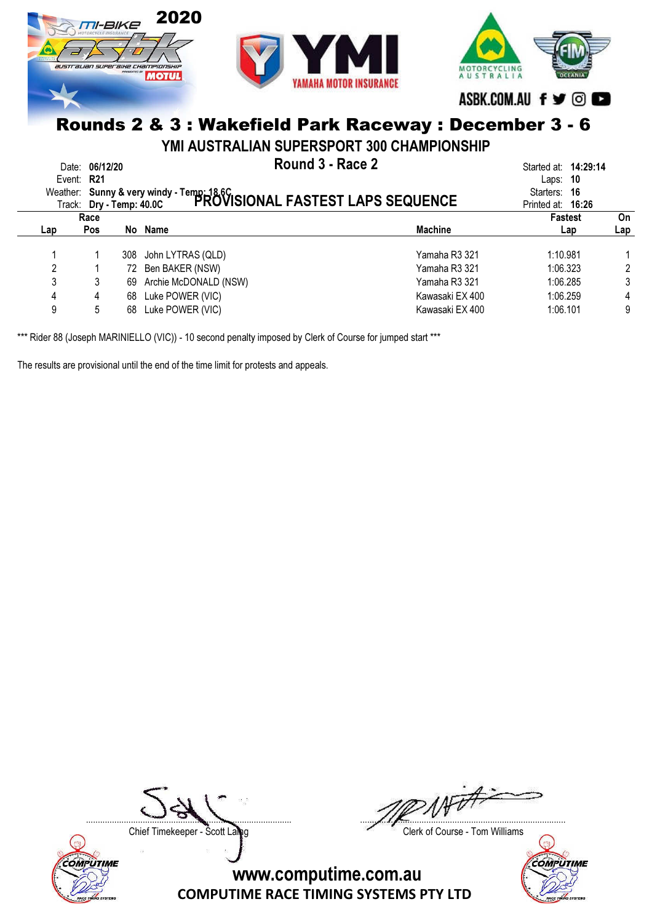

YMI AUSTRALIAN SUPERSPORT 300 CHAMPIONSHIP

| Weather: Sunny & very windy - Temp: 18,6C<br>Trock: Dry - Temp: 40.0C PROVISIONAL FASTEST LAPS SEQUENCE | Date: 06/12/20<br>Event: R21 | Started at: <b>14:29:14</b><br>Laps: $10$<br>Starters: 16<br>Printed at: 16:26 |                       |                 |                       |           |
|---------------------------------------------------------------------------------------------------------|------------------------------|--------------------------------------------------------------------------------|-----------------------|-----------------|-----------------------|-----------|
| Lap                                                                                                     | Race<br>Pos                  | No l                                                                           | Name                  | <b>Machine</b>  | <b>Fastest</b><br>Lap | On<br>Lap |
|                                                                                                         |                              |                                                                                |                       |                 |                       |           |
|                                                                                                         |                              | 308                                                                            | John LYTRAS (QLD)     | Yamaha R3 321   | 1:10.981              |           |
| 2                                                                                                       |                              | 72                                                                             | Ben BAKER (NSW)       | Yamaha R3 321   | 1:06.323              |           |
| 3                                                                                                       |                              | 69                                                                             | Archie McDONALD (NSW) | Yamaha R3 321   | 1:06.285              |           |
| 4                                                                                                       | 4                            | 68                                                                             | Luke POWER (VIC)      | Kawasaki EX 400 | 1:06.259              | 4         |
| 9                                                                                                       | 5                            | 68                                                                             | Luke POWER (VIC)      | Kawasaki EX 400 | 1:06.101              | 9         |

\*\*\* Rider 88 (Joseph MARINIELLO (VIC)) - 10 second penalty imposed by Clerk of Course for jumped start \*\*\*

The results are provisional until the end of the time limit for protests and appeals.



....................................................................................... .......................................................................................

Chief Timekeeper - Scott Laing Chief Timekeeper - Scott Laing

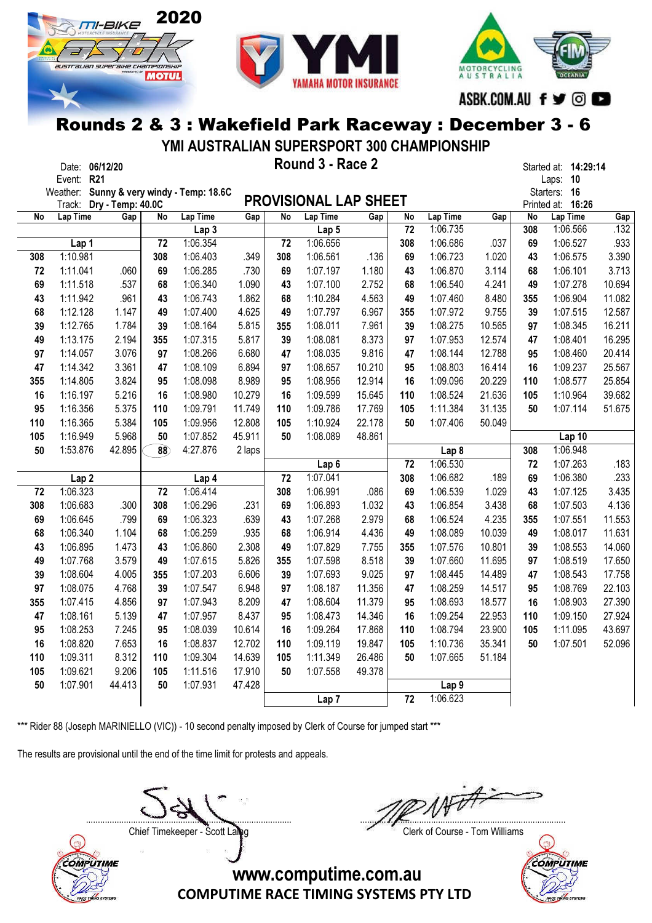





YMI AUSTRALIAN SUPERSPORT 300 CHAMPIONSHIP

|            | Date: 06/12/20       |                   |                 |                                  |                  |           | Round 3 - Race 2             |                  |           |                              |        |           | Started at: 14:29:14 |             |
|------------|----------------------|-------------------|-----------------|----------------------------------|------------------|-----------|------------------------------|------------------|-----------|------------------------------|--------|-----------|----------------------|-------------|
|            | Event: R21           |                   |                 |                                  |                  |           |                              |                  |           |                              |        |           | Laps: 10             |             |
|            | Weather:             |                   |                 | Sunny & very windy - Temp: 18.6C |                  |           | <b>PROVISIONAL LAP SHEET</b> |                  |           |                              |        |           | Starters: 16         |             |
|            | Track:               | Dry - Temp: 40.0C |                 |                                  |                  |           |                              |                  |           |                              |        |           | Printed at: 16:26    |             |
| No         | Lap Time             | Gap               | No              | Lap Time<br>Lap <sub>3</sub>     | Gap              | No        | Lap Time<br>Lap 5            | Gap              | No<br>72  | Lap Time<br>1:06.735         | Gap    | No<br>308 | Lap Time<br>1:06.566 | Gap<br>.132 |
|            | Lap 1                |                   | 72              | 1:06.354                         |                  | 72        | 1:06.656                     |                  | 308       | 1:06.686                     | .037   | 69        | 1:06.527             | .933        |
| 308        | 1:10.981             |                   | 308             | 1:06.403                         | .349             | 308       | 1:06.561                     | .136             | 69        | 1:06.723                     | 1.020  | 43        | 1:06.575             | 3.390       |
| 72         | 1:11.041             | .060              | 69              | 1:06.285                         | .730             | 69        | 1:07.197                     | 1.180            | 43        | 1:06.870                     | 3.114  | 68        | 1:06.101             | 3.713       |
| 69         | 1:11.518             | .537              | 68              | 1:06.340                         | 1.090            | 43        | 1:07.100                     | 2.752            | 68        | 1:06.540                     | 4.241  | 49        | 1:07.278             | 10.694      |
| 43         | 1:11.942             | .961              | 43              | 1:06.743                         | 1.862            | 68        | 1:10.284                     | 4.563            | 49        | 1:07.460                     | 8.480  | 355       | 1:06.904             | 11.082      |
| 68         | 1:12.128             | 1.147             | 49              | 1:07.400                         | 4.625            | 49        | 1:07.797                     | 6.967            | 355       | 1:07.972                     | 9.755  | 39        | 1:07.515             | 12.587      |
| 39         | 1:12.765             | 1.784             | 39              | 1:08.164                         | 5.815            | 355       | 1:08.011                     | 7.961            | 39        | 1:08.275                     | 10.565 | 97        | 1:08.345             | 16.211      |
| 49         | 1:13.175             | 2.194             | 355             | 1:07.315                         | 5.817            | 39        | 1:08.081                     | 8.373            | 97        | 1:07.953                     | 12.574 | 47        | 1:08.401             | 16.295      |
| 97         | 1:14.057             | 3.076             | 97              | 1:08.266                         | 6.680            | 47        | 1:08.035                     | 9.816            | 47        | 1:08.144                     | 12.788 | 95        | 1:08.460             | 20.414      |
| 47         | 1:14.342             | 3.361             | 47              | 1:08.109                         | 6.894            | 97        | 1:08.657                     | 10.210           | 95        | 1:08.803                     | 16.414 | 16        | 1:09.237             | 25.567      |
| 355        | 1:14.805             | 3.824             | 95              | 1:08.098                         | 8.989            | 95        | 1:08.956                     | 12.914           | 16        | 1:09.096                     | 20.229 | 110       | 1:08.577             | 25.854      |
| 16         | 1:16.197             | 5.216             | 16              | 1:08.980                         | 10.279           | 16        | 1:09.599                     | 15.645           | 110       | 1:08.524                     | 21.636 | 105       | 1:10.964             | 39.682      |
| 95         | 1:16.356             | 5.375             | 110             | 1:09.791                         | 11.749           | 110       | 1:09.786                     | 17.769           | 105       | 1:11.384                     | 31.135 | 50        | 1:07.114             | 51.675      |
| 110        | 1:16.365             | 5.384             | 105             | 1:09.956                         | 12.808           | 105       | 1:10.924                     | 22.178           | 50        | 1:07.406                     | 50.049 |           |                      |             |
| 105        | 1:16.949             | 5.968             | 50              | 1:07.852                         | 45.911           | 50        | 1:08.089                     | 48.861           |           |                              |        |           | Lap 10               |             |
| 50         | 1:53.876             | 42.895            | $\overline{88}$ | 4:27.876                         | 2 laps           |           |                              |                  |           | Lap <sub>8</sub>             |        | 308       | 1:06.948             |             |
|            |                      |                   |                 |                                  |                  |           | Lap <sub>6</sub>             |                  | 72        | 1:06.530                     |        | 72        | 1:07.263             | .183        |
|            | Lap <sub>2</sub>     |                   |                 | Lap 4                            |                  | 72        | 1:07.041                     |                  | 308       | 1:06.682                     | .189   | 69        | 1:06.380             | .233        |
| 72         | 1:06.323             |                   | 72              | 1:06.414                         |                  | 308       | 1:06.991                     | .086             | 69        | 1:06.539                     | 1.029  | 43        | 1:07.125             | 3.435       |
| 308        | 1:06.683             | .300              | 308             | 1:06.296                         | .231             | 69        | 1:06.893                     | 1.032            | 43        | 1:06.854                     | 3.438  | 68        | 1:07.503             | 4.136       |
| 69         | 1:06.645             | .799              | 69              | 1:06.323                         | .639             | 43        | 1:07.268                     | 2.979            | 68        | 1:06.524                     | 4.235  | 355       | 1:07.551             | 11.553      |
| 68         | 1:06.340             | 1.104             | 68              | 1:06.259                         | .935             | 68        | 1:06.914                     | 4.436            | 49        | 1:08.089                     | 10.039 | 49        | 1:08.017             | 11.631      |
| 43         | 1:06.895             | 1.473             | 43              | 1:06.860                         | 2.308            | 49        | 1:07.829                     | 7.755            | 355       | 1:07.576                     | 10.801 | 39        | 1:08.553             | 14.060      |
| 49         | 1:07.768             | 3.579             | 49              | 1:07.615                         | 5.826            | 355       | 1:07.598                     | 8.518            | 39        | 1:07.660                     | 11.695 | 97        | 1:08.519             | 17.650      |
| 39         | 1:08.604             | 4.005             | 355             | 1:07.203                         | 6.606            | 39        | 1:07.693                     | 9.025            | 97        | 1:08.445                     | 14.489 | 47        | 1:08.543             | 17.758      |
| 97         | 1:08.075             | 4.768             | 39              | 1:07.547                         | 6.948            | 97        | 1:08.187                     | 11.356           | 47        | 1:08.259                     | 14.517 | 95        | 1:08.769             | 22.103      |
| 355        | 1:07.415             | 4.856             | 97              | 1:07.943                         | 8.209            | 47        | 1:08.604                     | 11.379           | 95        | 1:08.693                     | 18.577 | 16        | 1:08.903             | 27.390      |
| 47         | 1:08.161             | 5.139             | 47              | 1:07.957                         | 8.437            | 95        | 1:08.473                     | 14.346           | 16        | 1:09.254                     | 22.953 | 110       | 1:09.150             | 27.924      |
| 95         | 1:08.253             | 7.245             | 95              | 1:08.039                         | 10.614           | 16        | 1:09.264                     | 17.868           | 110       | 1:08.794                     | 23.900 | 105       | 1:11.095             | 43.697      |
| 16         | 1:08.820             | 7.653             | 16              | 1:08.837                         | 12.702           | 110       | 1:09.119                     | 19.847           | 105<br>50 | 1:10.736                     | 35.341 | 50        | 1:07.501             | 52.096      |
| 110<br>105 | 1:09.311<br>1:09.621 | 8.312<br>9.206    | 110<br>105      | 1:09.304<br>1:11.516             | 14.639<br>17.910 | 105<br>50 | 1:11.349<br>1:07.558         | 26.486<br>49.378 |           | 1:07.665                     | 51.184 |           |                      |             |
| 50         | 1:07.901             | 44.413            | 50              | 1:07.931                         | 47.428           |           |                              |                  |           |                              |        |           |                      |             |
|            |                      |                   |                 |                                  |                  |           | Lap <sub>7</sub>             |                  | 72        | Lap <sub>9</sub><br>1:06.623 |        |           |                      |             |
|            |                      |                   |                 |                                  |                  |           |                              |                  |           |                              |        |           |                      |             |

\*\*\* Rider 88 (Joseph MARINIELLO (VIC)) - 10 second penalty imposed by Clerk of Course for jumped start \*\*\*

The results are provisional until the end of the time limit for protests and appeals.

....................................................................................... .......................................................................................

Chief Timekeeper - Scott Laing Chief Timekeeper - Scott Laing



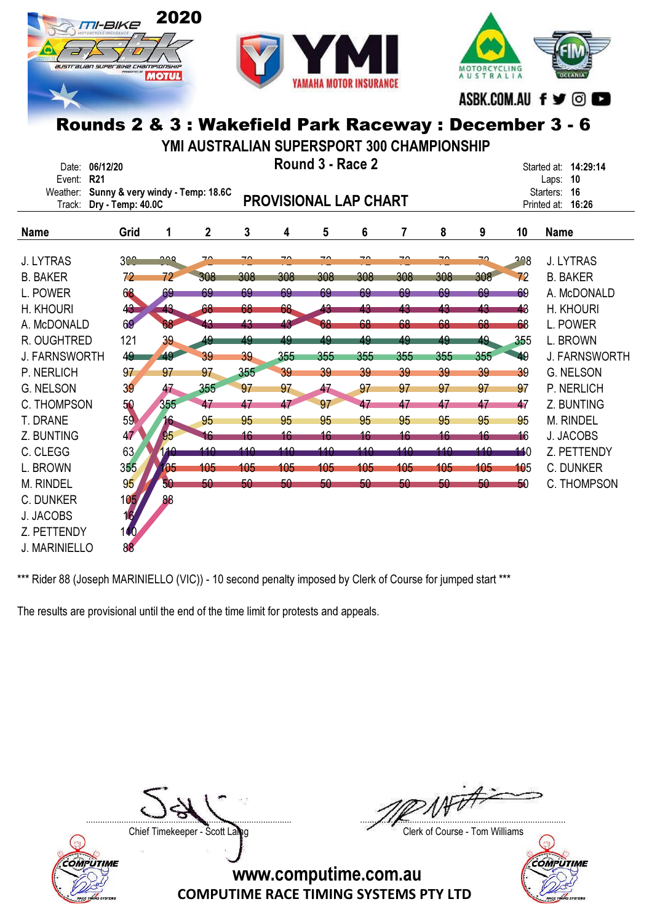





ASBK.COM.AU f ♥ © ●

# Rounds 2 & 3 : Wakefield Park Raceway : December 3 - 6

YMI AUSTRALIAN SUPERSPORT 300 CHAMPIONSHIP

| Date:<br><b>R21</b><br>Event: | 06/12/20                                              |            |             |                          |                          | Round 3 - Race 2             |     |                          |     |                          |     | Started at: 14:29:14<br>- 10<br>Laps: |
|-------------------------------|-------------------------------------------------------|------------|-------------|--------------------------|--------------------------|------------------------------|-----|--------------------------|-----|--------------------------|-----|---------------------------------------|
| Weather:<br>Track:            | Sunny & very windy - Temp: 18.6C<br>Dry - Temp: 40.0C |            |             |                          |                          | <b>PROVISIONAL LAP CHART</b> |     |                          |     |                          |     | 16<br>Starters:<br>Printed at: 16:26  |
| <b>Name</b>                   | Grid                                                  | 1          | $\mathbf 2$ | 3                        | 4                        | 5                            | 6   | $\overline{7}$           | 8   | 9                        | 10  | <b>Name</b>                           |
| <b>J. LYTRAS</b>              | 3 <sup>0</sup>                                        | ∩∩Q        | 70          | $\overline{\phantom{a}}$ | $\overline{\phantom{a}}$ | ⊸                            | ⊸   | $\overline{\phantom{a}}$ | ⊸   | $\overline{\phantom{a}}$ | 298 | <b>J. LYTRAS</b>                      |
| <b>B. BAKER</b>               | 72                                                    | 72         | 308         | 308                      | 308                      | 308                          | 308 | 308                      | 308 | 308                      | 72  | <b>B. BAKER</b>                       |
| L. POWER                      | 68                                                    | 69         | 69          | 69                       | 69                       | 69                           | 69  | 69                       | 69  | 69                       | 69  | A. McDONALD                           |
| H. KHOURI                     | 43                                                    | 43         | 68          | 68                       | 68                       | 43                           | 43  | 43                       | 43  | 43                       | 43  | H. KHOURI                             |
| A. McDONALD                   | 69                                                    | 68         | 43          | 43                       | 43                       | 68                           | 68  | 68                       | 68  | 68                       | 68  | L. POWER                              |
| R. OUGHTRED                   | 121                                                   | 39         | 49          | 49                       | 49                       | 49                           | 49  | 49                       | 49  | 49                       | 355 | L. BROWN                              |
| <b>J. FARNSWORTH</b>          | 49                                                    | 49         | 39          | 39                       | 355                      | 355                          | 355 | 355                      | 355 | 355                      | 49  | <b>J. FARNSWORTH</b>                  |
| P. NERLICH                    | 97                                                    | 97         | 97          | 355                      | 39                       | 39                           | 39  | 39                       | 39  | 39                       | 39  | <b>G. NELSON</b>                      |
| <b>G. NELSON</b>              | 39                                                    | 47         | 355         | 97                       | 97                       | 47                           | 97  | 97                       | 97  | 97                       | 97  | P. NERLICH                            |
| C. THOMPSON                   | 50                                                    | 355        | 47          | 47                       | 47                       | 97                           | 47  | 47                       | 47  | 47                       | 47  | Z. BUNTING                            |
| T. DRANE                      | 59                                                    | 16         | 95          | 95                       | 95                       | 95                           | 95  | 95                       | 95  | 95                       | 95  | <b>M. RINDEL</b>                      |
| Z. BUNTING                    | 47                                                    | 95         | 16          | 16                       | 16                       | 16                           | 16  | 16                       | 16  | 16                       | 16  | <b>J. JACOBS</b>                      |
| C. CLEGG                      | 63                                                    | 10         | 140         | 110                      | 140                      | 110                          | 140 | 110                      | 140 | 140                      | 110 | Z. PETTENDY                           |
| L. BROWN                      | 355                                                   | $\sqrt{5}$ | 105         | 105                      | 105                      | 105                          | 105 | 105                      | 105 | 105                      | 105 | <b>C. DUNKER</b>                      |
| M. RINDEL                     | 95                                                    | 50         | 50          | 50                       | 50                       | 50 <sub>2</sub>              | 50  | 50                       | 50  | 50                       | 50  | C. THOMPSON                           |
| <b>C. DUNKER</b>              | 105/                                                  | 88         |             |                          |                          |                              |     |                          |     |                          |     |                                       |
| J. JACOBS                     | 16                                                    |            |             |                          |                          |                              |     |                          |     |                          |     |                                       |
| Z. PETTENDY                   | 100                                                   |            |             |                          |                          |                              |     |                          |     |                          |     |                                       |
| <b>J. MARINIELLO</b>          | 88                                                    |            |             |                          |                          |                              |     |                          |     |                          |     |                                       |

\*\*\* Rider 88 (Joseph MARINIELLO (VIC)) - 10 second penalty imposed by Clerk of Course for jumped start \*\*\*

The results are provisional until the end of the time limit for protests and appeals.

COMPUTIME

....................................................................................... .......................................................................................

Chief Timekeeper - Scott Laing Chief Timekeeper - Scott Laing

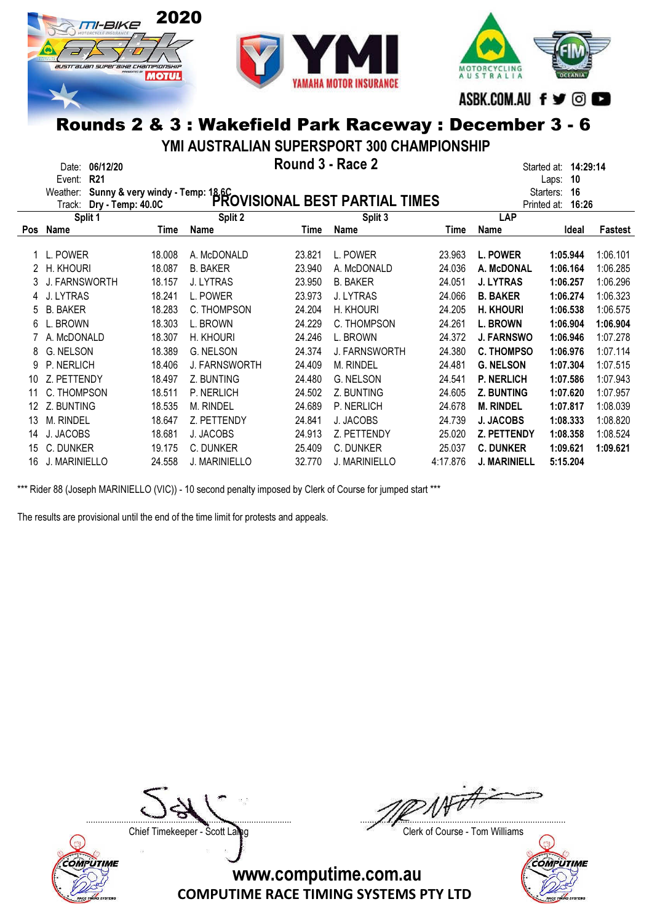





ASBK.COM.AU f ♥ © ●

# Rounds 2 & 3 : Wakefield Park Raceway : December 3 - 6

YMI AUSTRALIAN SUPERSPORT 300 CHAMPIONSHIP

|     | 06/12/20<br>Date:<br>R <sub>21</sub><br>Event: |        | 14:29:14<br>Started at:<br>10<br>Laps:                                               |        |                      |          |                     |                      |          |
|-----|------------------------------------------------|--------|--------------------------------------------------------------------------------------|--------|----------------------|----------|---------------------|----------------------|----------|
|     | Weather:                                       |        | Sunny & very windy - Temp: 18.6C<br>Dry - Temp: 40.0C PROVISIONAL BEST PARTIAL TIMES |        |                      |          |                     | 16<br>Starters:      |          |
|     | Track:                                         |        |                                                                                      |        |                      |          |                     | 16:26<br>Printed at: |          |
|     | Split 1                                        |        | Split 2                                                                              |        | Split 3              |          | LAP                 |                      |          |
| Pos | Name                                           | Time   | <b>Name</b>                                                                          | Time   | Name                 | Time     | Name                | Ideal                | Fastest  |
|     | L. POWER                                       | 18.008 | A. McDONALD                                                                          | 23.821 | L. POWER             | 23.963   | <b>L. POWER</b>     | 1:05.944             | 1:06.101 |
|     | H. KHOURI                                      | 18.087 | <b>B. BAKER</b>                                                                      | 23.940 | A. McDONALD          | 24.036   | A. McDONAL          | 1:06.164             | 1:06.285 |
|     | <b>J. FARNSWORTH</b>                           | 18.157 | <b>J. LYTRAS</b>                                                                     | 23.950 | <b>B. BAKER</b>      | 24.051   | <b>J. LYTRAS</b>    | 1:06.257             | 1:06.296 |
| 4   | J. LYTRAS                                      | 18.241 | L. POWER                                                                             | 23.973 | J. LYTRAS            | 24.066   | <b>B. BAKER</b>     | 1:06.274             | 1:06.323 |
| 5   | <b>B. BAKER</b>                                | 18.283 | C. THOMPSON                                                                          | 24.204 | H. KHOURI            | 24.205   | <b>H. KHOURI</b>    | 1:06.538             | 1:06.575 |
| 6   | L. BROWN                                       | 18.303 | L. BROWN                                                                             | 24.229 | C. THOMPSON          | 24.261   | <b>L. BROWN</b>     | 1:06.904             | 1:06.904 |
|     | A. McDONALD                                    | 18.307 | H. KHOURI                                                                            | 24.246 | L. BROWN             | 24.372   | <b>J. FARNSWO</b>   | 1:06.946             | 1:07.278 |
| 8   | G. NELSON                                      | 18.389 | <b>G. NELSON</b>                                                                     | 24.374 | <b>J. FARNSWORTH</b> | 24.380   | <b>C. THOMPSO</b>   | 1:06.976             | 1:07.114 |
| 9   | P. NERLICH                                     | 18.406 | <b>J. FARNSWORTH</b>                                                                 | 24.409 | M. RINDEL            | 24.481   | <b>G. NELSON</b>    | 1:07.304             | 1:07.515 |
| 10  | Z. PETTENDY                                    | 18.497 | Z. BUNTING                                                                           | 24.480 | G. NELSON            | 24.541   | <b>P. NERLICH</b>   | 1:07.586             | 1:07.943 |
| 11  | C. THOMPSON                                    | 18.511 | P. NERLICH                                                                           | 24.502 | Z. BUNTING           | 24.605   | <b>Z. BUNTING</b>   | 1:07.620             | 1:07.957 |
| 12  | Z. BUNTING                                     | 18.535 | M. RINDEL                                                                            | 24.689 | P. NERLICH           | 24.678   | <b>M. RINDEL</b>    | 1:07.817             | 1:08.039 |
| 13  | M. RINDEL                                      | 18.647 | Z. PETTENDY                                                                          | 24.841 | J. JACOBS            | 24.739   | <b>J. JACOBS</b>    | 1:08.333             | 1:08.820 |
| 14  | J. JACOBS                                      | 18.681 | J. JACOBS                                                                            | 24.913 | Z. PETTENDY          | 25.020   | Z. PETTENDY         | 1:08.358             | 1:08.524 |
| 15  | C. DUNKER                                      | 19.175 | C. DUNKER                                                                            | 25.409 | C. DUNKER            | 25.037   | <b>C. DUNKER</b>    | 1:09.621             | 1:09.621 |
| 16  | J. MARINIELLO                                  | 24.558 | <b>J. MARINIELLO</b>                                                                 | 32.770 | <b>J. MARINIELLO</b> | 4:17.876 | <b>J. MARINIELL</b> | 5:15.204             |          |

\*\*\* Rider 88 (Joseph MARINIELLO (VIC)) - 10 second penalty imposed by Clerk of Course for jumped start \*\*\*

The results are provisional until the end of the time limit for protests and appeals.



COMPUTIME

....................................................................................... .......................................................................................

Chief Timekeeper - Scott Laing Chief Timekeeper - Scott Laing

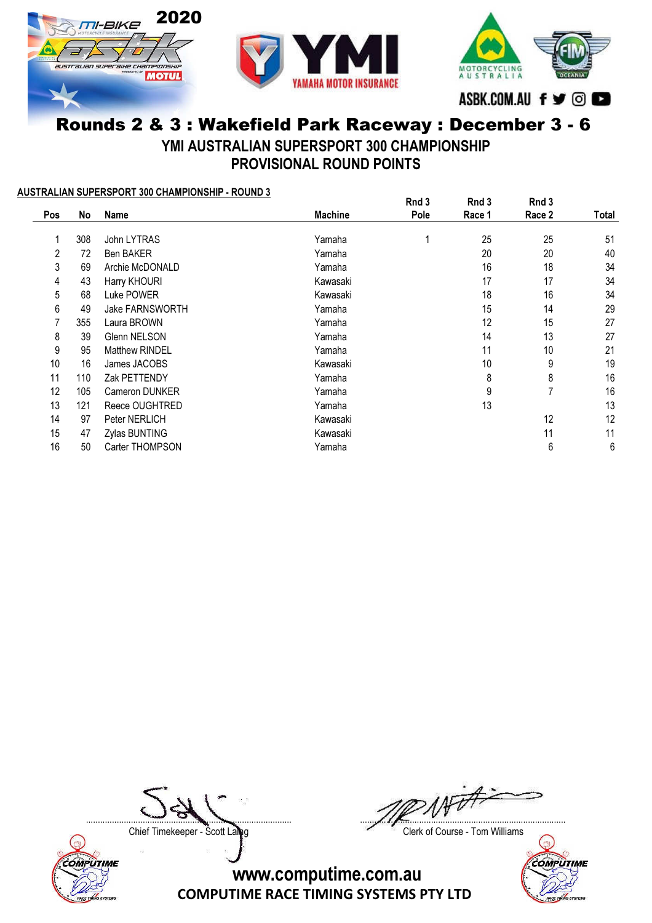

# Rounds 2 & 3 : Wakefield Park Raceway : December 3 - 6 YMI AUSTRALIAN SUPERSPORT 300 CHAMPIONSHIP

PROVISIONAL ROUND POINTS

#### AUSTRALIAN SUPERSPORT 300 CHAMPIONSHIP - ROUND 3

|     |     |                        |                | Rnd 3 | Rnd 3  | Rnd 3  |       |
|-----|-----|------------------------|----------------|-------|--------|--------|-------|
| Pos | No  | Name                   | <b>Machine</b> | Pole  | Race 1 | Race 2 | Total |
|     |     |                        |                |       |        |        |       |
|     | 308 | John LYTRAS            | Yamaha         |       | 25     | 25     | 51    |
| 2   | 72  | <b>Ben BAKER</b>       | Yamaha         |       | 20     | 20     | 40    |
| 3   | 69  | Archie McDONALD        | Yamaha         |       | 16     | 18     | 34    |
| 4   | 43  | Harry KHOURI           | Kawasaki       |       | 17     | 17     | 34    |
| 5   | 68  | Luke POWER             | Kawasaki       |       | 18     | 16     | 34    |
| 6   | 49  | <b>Jake FARNSWORTH</b> | Yamaha         |       | 15     | 14     | 29    |
|     | 355 | Laura BROWN            | Yamaha         |       | 12     | 15     | 27    |
| 8   | 39  | <b>Glenn NELSON</b>    | Yamaha         |       | 14     | 13     | 27    |
| 9   | 95  | Matthew RINDEL         | Yamaha         |       | 11     | 10     | 21    |
| 10  | 16  | James JACOBS           | Kawasaki       |       | 10     | 9      | 19    |
| 11  | 110 | Zak PETTENDY           | Yamaha         |       | 8      | 8      | 16    |
| 12  | 105 | Cameron DUNKER         | Yamaha         |       | 9      | 7      | 16    |
| 13  | 121 | Reece OUGHTRED         | Yamaha         |       | 13     |        | 13    |
| 14  | 97  | Peter NERLICH          | Kawasaki       |       |        | 12     | 12    |
| 15  | 47  | Zylas BUNTING          | Kawasaki       |       |        | 11     | 11    |
| 16  | 50  | Carter THOMPSON        | Yamaha         |       |        | 6      | 6     |

Chief Timekeeper - Scott Laling Chief Timekeeper - Scott Laling Chief Course - Tom Williams



....................................................................................... .......................................................................................

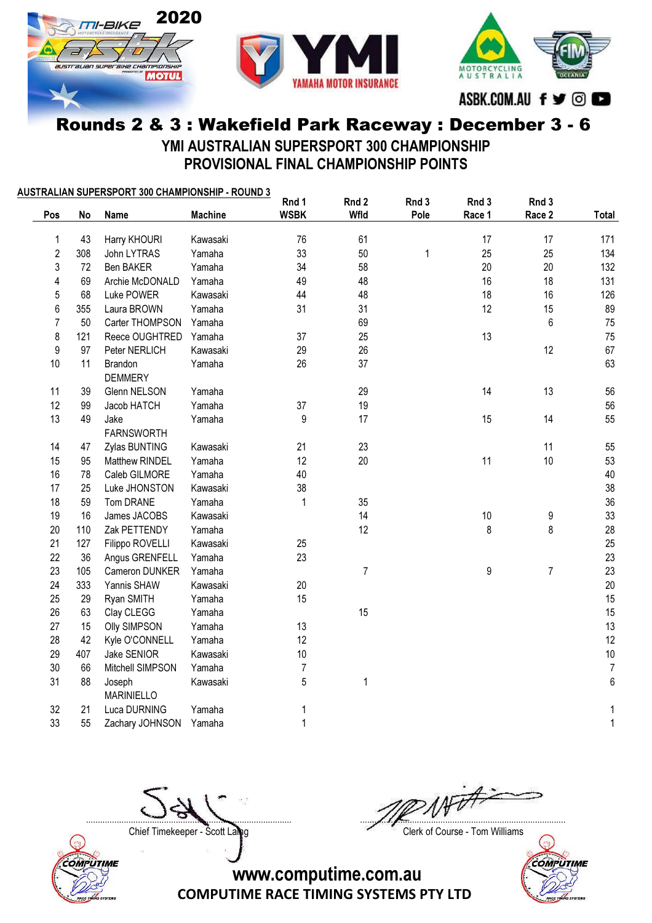



MOTORCYCLING<br>AUSTRALIA ASBK.COM.AU f ♥ © ●

#### Rounds 2 & 3 : Wakefield Park Raceway : December 3 - 6 YMI AUSTRALIAN SUPERSPORT 300 CHAMPIONSHIP

PROVISIONAL FINAL CHAMPIONSHIP POINTS

|                |     | AUSTRALIAN SUPERSPORT 300 CHAMPIONSHIP - ROUND 3 |                | Rnd 1          | Rnd 2          | Rnd 3 | Rnd 3  | Rnd 3          |              |
|----------------|-----|--------------------------------------------------|----------------|----------------|----------------|-------|--------|----------------|--------------|
| Pos            | No  | <b>Name</b>                                      | <b>Machine</b> | <b>WSBK</b>    | Wfld           | Pole  | Race 1 | Race 2         | Total        |
| 1              | 43  | Harry KHOURI                                     | Kawasaki       | 76             | 61             |       | 17     | 17             | 171          |
| $\sqrt{2}$     | 308 | John LYTRAS                                      | Yamaha         | 33             | 50             | 1     | 25     | 25             | 134          |
| 3              | 72  | Ben BAKER                                        | Yamaha         | 34             | 58             |       | 20     | 20             | 132          |
| 4              | 69  | Archie McDONALD                                  | Yamaha         | 49             | 48             |       | 16     | 18             | 131          |
| 5              | 68  | Luke POWER                                       | Kawasaki       | 44             | 48             |       | 18     | 16             | 126          |
| 6              | 355 | Laura BROWN                                      | Yamaha         | 31             | 31             |       | 12     | 15             | 89           |
| $\overline{7}$ | 50  | Carter THOMPSON                                  | Yamaha         |                | 69             |       |        | $\,6$          | 75           |
| 8              | 121 | Reece OUGHTRED                                   | Yamaha         | 37             | 25             |       | 13     |                | 75           |
| 9              | 97  | Peter NERLICH                                    | Kawasaki       | 29             | 26             |       |        | 12             | 67           |
| 10             | 11  | Brandon<br><b>DEMMERY</b>                        | Yamaha         | 26             | 37             |       |        |                | 63           |
| 11             | 39  | Glenn NELSON                                     | Yamaha         |                | 29             |       | 14     | 13             | 56           |
| 12             | 99  | Jacob HATCH                                      | Yamaha         | 37             | 19             |       |        |                | 56           |
| 13             | 49  | Jake<br><b>FARNSWORTH</b>                        | Yamaha         | 9              | 17             |       | 15     | 14             | 55           |
| 14             | 47  | Zylas BUNTING                                    | Kawasaki       | 21             | 23             |       |        | 11             | 55           |
| 15             | 95  | Matthew RINDEL                                   | Yamaha         | 12             | 20             |       | 11     | 10             | 53           |
| 16             | 78  | Caleb GILMORE                                    | Yamaha         | 40             |                |       |        |                | 40           |
| 17             | 25  | Luke JHONSTON                                    | Kawasaki       | 38             |                |       |        |                | 38           |
| 18             | 59  | Tom DRANE                                        | Yamaha         | 1              | 35             |       |        |                | $36\,$       |
| 19             | 16  | James JACOBS                                     | Kawasaki       |                | 14             |       | 10     | 9              | 33           |
| 20             | 110 | Zak PETTENDY                                     | Yamaha         |                | 12             |       | 8      | 8              | 28           |
| 21             | 127 | Filippo ROVELLI                                  | Kawasaki       | 25             |                |       |        |                | 25           |
| 22             | 36  | Angus GRENFELL                                   | Yamaha         | 23             |                |       |        |                | 23           |
| 23             | 105 | Cameron DUNKER                                   | Yamaha         |                | $\overline{7}$ |       | 9      | $\overline{7}$ | 23           |
| 24             | 333 | Yannis SHAW                                      | Kawasaki       | 20             |                |       |        |                | $20\,$       |
| 25             | 29  | Ryan SMITH                                       | Yamaha         | 15             |                |       |        |                | 15           |
| 26             | 63  | Clay CLEGG                                       | Yamaha         |                | 15             |       |        |                | 15           |
| 27             | 15  | <b>Olly SIMPSON</b>                              | Yamaha         | 13             |                |       |        |                | 13           |
| 28             | 42  | Kyle O'CONNELL                                   | Yamaha         | 12             |                |       |        |                | 12           |
| 29             | 407 | Jake SENIOR                                      | Kawasaki       | 10             |                |       |        |                | $10$         |
| 30             | 66  | Mitchell SIMPSON                                 | Yamaha         | $\overline{7}$ |                |       |        |                | $\sqrt{7}$   |
| 31             | 88  | Joseph<br><b>MARINIELLO</b>                      | Kawasaki       | 5              | $\mathbf{1}$   |       |        |                | $\,6\,$      |
| 32             | 21  | Luca DURNING                                     | Yamaha         | 1              |                |       |        |                | 1            |
| 33             | 55  | Zachary JOHNSON                                  | Yamaha         | 1              |                |       |        |                | $\mathbf{1}$ |



....................................................................................... .......................................................................................

Chief Timekeeper - Scott Laling Chief Timekeeper - Scott Laling Chief Course - Tom Williams